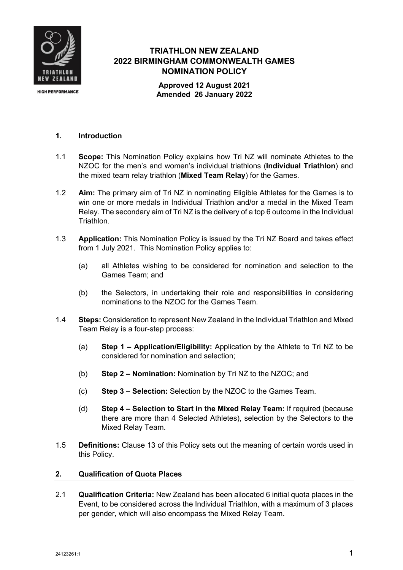

## **TRIATHLON NEW ZEALAND 2022 BIRMINGHAM COMMONWEALTH GAMES NOMINATION POLICY**

**Approved 12 August 2021 Amended 26 January 2022**

## **1. Introduction**

- 1.1 **Scope:** This Nomination Policy explains how Tri NZ will nominate Athletes to the NZOC for the men's and women's individual triathlons (**Individual Triathlon**) and the mixed team relay triathlon (**Mixed Team Relay**) for the Games.
- 1.2 **Aim:** The primary aim of Tri NZ in nominating Eligible Athletes for the Games is to win one or more medals in Individual Triathlon and/or a medal in the Mixed Team Relay. The secondary aim of Tri NZ is the delivery of a top 6 outcome in the Individual Triathlon.
- 1.3 **Application:** This Nomination Policy is issued by the Tri NZ Board and takes effect from 1 July 2021. This Nomination Policy applies to:
	- (a) all Athletes wishing to be considered for nomination and selection to the Games Team; and
	- (b) the Selectors, in undertaking their role and responsibilities in considering nominations to the NZOC for the Games Team.
- 1.4 **Steps:** Consideration to represent New Zealand in the Individual Triathlon and Mixed Team Relay is a four-step process:
	- (a) **Step 1 – Application/Eligibility:** Application by the Athlete to Tri NZ to be considered for nomination and selection;
	- (b) **Step 2 – Nomination:** Nomination by Tri NZ to the NZOC; and
	- (c) **Step 3 – Selection:** Selection by the NZOC to the Games Team.
	- (d) **Step 4 – Selection to Start in the Mixed Relay Team:** If required (because there are more than 4 Selected Athletes), selection by the Selectors to the Mixed Relay Team.
- 1.5 **Definitions:** Clause 13 of this Policy sets out the meaning of certain words used in this Policy.

## **2. Qualification of Quota Places**

2.1 **Qualification Criteria:** New Zealand has been allocated 6 initial quota places in the Event, to be considered across the Individual Triathlon, with a maximum of 3 places per gender, which will also encompass the Mixed Relay Team.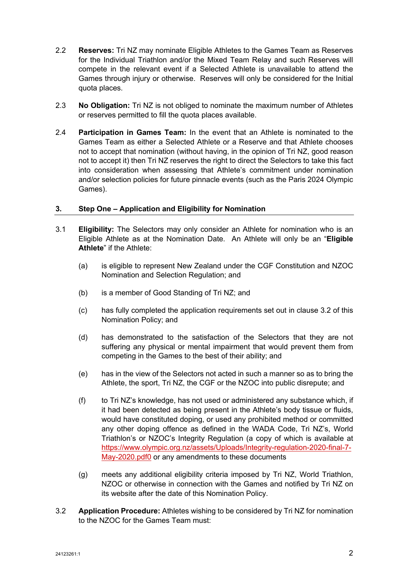- 2.2 **Reserves:** Tri NZ may nominate Eligible Athletes to the Games Team as Reserves for the Individual Triathlon and/or the Mixed Team Relay and such Reserves will compete in the relevant event if a Selected Athlete is unavailable to attend the Games through injury or otherwise. Reserves will only be considered for the Initial quota places.
- 2.3 **No Obligation:** Tri NZ is not obliged to nominate the maximum number of Athletes or reserves permitted to fill the quota places available.
- 2.4 **Participation in Games Team:** In the event that an Athlete is nominated to the Games Team as either a Selected Athlete or a Reserve and that Athlete chooses not to accept that nomination (without having, in the opinion of Tri NZ, good reason not to accept it) then Tri NZ reserves the right to direct the Selectors to take this fact into consideration when assessing that Athlete's commitment under nomination and/or selection policies for future pinnacle events (such as the Paris 2024 Olympic Games).

## **3. Step One – Application and Eligibility for Nomination**

- 3.1 **Eligibility:** The Selectors may only consider an Athlete for nomination who is an Eligible Athlete as at the Nomination Date. An Athlete will only be an "**Eligible Athlete**" if the Athlete:
	- (a) is eligible to represent New Zealand under the CGF Constitution and NZOC Nomination and Selection Regulation; and
	- (b) is a member of Good Standing of Tri NZ; and
	- (c) has fully completed the application requirements set out in clause 3.2 of this Nomination Policy; and
	- (d) has demonstrated to the satisfaction of the Selectors that they are not suffering any physical or mental impairment that would prevent them from competing in the Games to the best of their ability; and
	- (e) has in the view of the Selectors not acted in such a manner so as to bring the Athlete, the sport, Tri NZ, the CGF or the NZOC into public disrepute; and
	- (f) to Tri NZ's knowledge, has not used or administered any substance which, if it had been detected as being present in the Athlete's body tissue or fluids, would have constituted doping, or used any prohibited method or committed any other doping offence as defined in the WADA Code, Tri NZ's, World Triathlon's or NZOC's Integrity Regulation (a copy of which is available at https://www.olympic.org.nz/assets/Uploads/Integrity-regulation-2020-final-7- May-2020.pdf0 or any amendments to these documents
	- (g) meets any additional eligibility criteria imposed by Tri NZ, World Triathlon, NZOC or otherwise in connection with the Games and notified by Tri NZ on its website after the date of this Nomination Policy.
- 3.2 **Application Procedure:** Athletes wishing to be considered by Tri NZ for nomination to the NZOC for the Games Team must: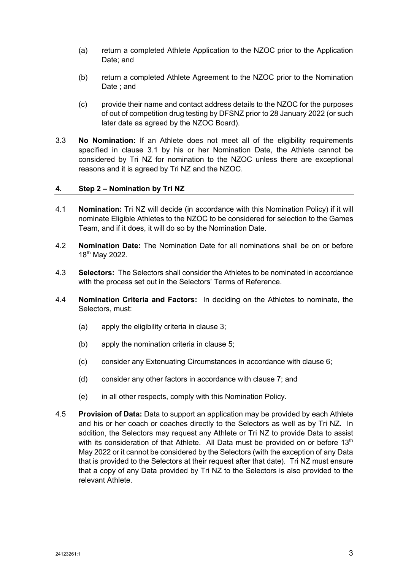- (a) return a completed Athlete Application to the NZOC prior to the Application Date; and
- (b) return a completed Athlete Agreement to the NZOC prior to the Nomination Date ; and
- (c) provide their name and contact address details to the NZOC for the purposes of out of competition drug testing by DFSNZ prior to 28 January 2022 (or such later date as agreed by the NZOC Board).
- 3.3 **No Nomination:** If an Athlete does not meet all of the eligibility requirements specified in clause 3.1 by his or her Nomination Date, the Athlete cannot be considered by Tri NZ for nomination to the NZOC unless there are exceptional reasons and it is agreed by Tri NZ and the NZOC.

## **4. Step 2 – Nomination by Tri NZ**

- 4.1 **Nomination:** Tri NZ will decide (in accordance with this Nomination Policy) if it will nominate Eligible Athletes to the NZOC to be considered for selection to the Games Team, and if it does, it will do so by the Nomination Date.
- 4.2 **Nomination Date:** The Nomination Date for all nominations shall be on or before 18th May 2022.
- 4.3 **Selectors:** The Selectors shall consider the Athletes to be nominated in accordance with the process set out in the Selectors' Terms of Reference.
- 4.4 **Nomination Criteria and Factors:** In deciding on the Athletes to nominate, the Selectors, must:
	- (a) apply the eligibility criteria in clause 3;
	- (b) apply the nomination criteria in clause 5;
	- (c) consider any Extenuating Circumstances in accordance with clause 6;
	- (d) consider any other factors in accordance with clause 7; and
	- (e) in all other respects, comply with this Nomination Policy.
- 4.5 **Provision of Data:** Data to support an application may be provided by each Athlete and his or her coach or coaches directly to the Selectors as well as by Tri NZ. In addition, the Selectors may request any Athlete or Tri NZ to provide Data to assist with its consideration of that Athlete. All Data must be provided on or before  $13<sup>th</sup>$ May 2022 or it cannot be considered by the Selectors (with the exception of any Data that is provided to the Selectors at their request after that date). Tri NZ must ensure that a copy of any Data provided by Tri NZ to the Selectors is also provided to the relevant Athlete.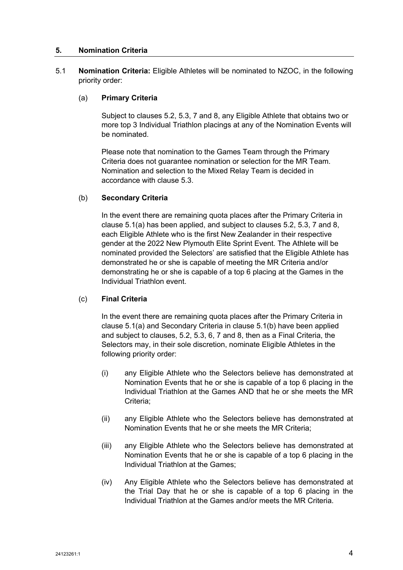#### **5. Nomination Criteria**

5.1 **Nomination Criteria:** Eligible Athletes will be nominated to NZOC, in the following priority order:

#### (a) **Primary Criteria**

Subject to clauses 5.2, 5.3, 7 and 8, any Eligible Athlete that obtains two or more top 3 Individual Triathlon placings at any of the Nomination Events will be nominated.

Please note that nomination to the Games Team through the Primary Criteria does not guarantee nomination or selection for the MR Team. Nomination and selection to the Mixed Relay Team is decided in accordance with clause 5.3.

#### (b) **Secondary Criteria**

In the event there are remaining quota places after the Primary Criteria in clause 5.1(a) has been applied, and subject to clauses 5.2, 5.3, 7 and 8, each Eligible Athlete who is the first New Zealander in their respective gender at the 2022 New Plymouth Elite Sprint Event. The Athlete will be nominated provided the Selectors' are satisfied that the Eligible Athlete has demonstrated he or she is capable of meeting the MR Criteria and/or demonstrating he or she is capable of a top 6 placing at the Games in the Individual Triathlon event.

## (c) **Final Criteria**

In the event there are remaining quota places after the Primary Criteria in clause 5.1(a) and Secondary Criteria in clause 5.1(b) have been applied and subject to clauses, 5.2, 5.3, 6, 7 and 8, then as a Final Criteria, the Selectors may, in their sole discretion, nominate Eligible Athletes in the following priority order:

- (i) any Eligible Athlete who the Selectors believe has demonstrated at Nomination Events that he or she is capable of a top 6 placing in the Individual Triathlon at the Games AND that he or she meets the MR Criteria;
- (ii) any Eligible Athlete who the Selectors believe has demonstrated at Nomination Events that he or she meets the MR Criteria;
- (iii) any Eligible Athlete who the Selectors believe has demonstrated at Nomination Events that he or she is capable of a top 6 placing in the Individual Triathlon at the Games;
- (iv) Any Eligible Athlete who the Selectors believe has demonstrated at the Trial Day that he or she is capable of a top 6 placing in the Individual Triathlon at the Games and/or meets the MR Criteria.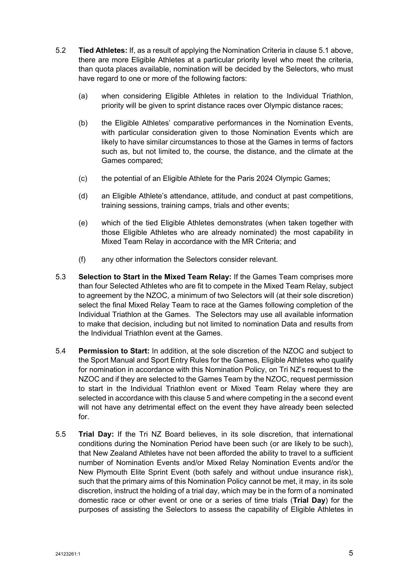- 5.2 **Tied Athletes:** If, as a result of applying the Nomination Criteria in clause 5.1 above, there are more Eligible Athletes at a particular priority level who meet the criteria, than quota places available, nomination will be decided by the Selectors, who must have regard to one or more of the following factors:
	- (a) when considering Eligible Athletes in relation to the Individual Triathlon, priority will be given to sprint distance races over Olympic distance races;
	- (b) the Eligible Athletes' comparative performances in the Nomination Events, with particular consideration given to those Nomination Events which are likely to have similar circumstances to those at the Games in terms of factors such as, but not limited to, the course, the distance, and the climate at the Games compared;
	- (c) the potential of an Eligible Athlete for the Paris 2024 Olympic Games;
	- (d) an Eligible Athlete's attendance, attitude, and conduct at past competitions, training sessions, training camps, trials and other events;
	- (e) which of the tied Eligible Athletes demonstrates (when taken together with those Eligible Athletes who are already nominated) the most capability in Mixed Team Relay in accordance with the MR Criteria; and
	- (f) any other information the Selectors consider relevant.
- 5.3 **Selection to Start in the Mixed Team Relay:** If the Games Team comprises more than four Selected Athletes who are fit to compete in the Mixed Team Relay, subject to agreement by the NZOC, a minimum of two Selectors will (at their sole discretion) select the final Mixed Relay Team to race at the Games following completion of the Individual Triathlon at the Games. The Selectors may use all available information to make that decision, including but not limited to nomination Data and results from the Individual Triathlon event at the Games.
- 5.4 **Permission to Start:** In addition, at the sole discretion of the NZOC and subject to the Sport Manual and Sport Entry Rules for the Games, Eligible Athletes who qualify for nomination in accordance with this Nomination Policy, on Tri NZ's request to the NZOC and if they are selected to the Games Team by the NZOC, request permission to start in the Individual Triathlon event or Mixed Team Relay where they are selected in accordance with this clause 5 and where competing in the a second event will not have any detrimental effect on the event they have already been selected for.
- 5.5 **Trial Day:** If the Tri NZ Board believes, in its sole discretion, that international conditions during the Nomination Period have been such (or are likely to be such), that New Zealand Athletes have not been afforded the ability to travel to a sufficient number of Nomination Events and/or Mixed Relay Nomination Events and/or the New Plymouth Elite Sprint Event (both safely and without undue insurance risk), such that the primary aims of this Nomination Policy cannot be met, it may, in its sole discretion, instruct the holding of a trial day, which may be in the form of a nominated domestic race or other event or one or a series of time trials (**Trial Day**) for the purposes of assisting the Selectors to assess the capability of Eligible Athletes in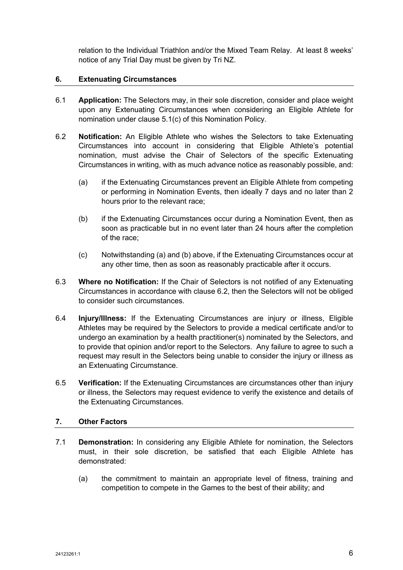relation to the Individual Triathlon and/or the Mixed Team Relay. At least 8 weeks' notice of any Trial Day must be given by Tri NZ.

## **6. Extenuating Circumstances**

- 6.1 **Application:** The Selectors may, in their sole discretion, consider and place weight upon any Extenuating Circumstances when considering an Eligible Athlete for nomination under clause 5.1(c) of this Nomination Policy.
- 6.2 **Notification:** An Eligible Athlete who wishes the Selectors to take Extenuating Circumstances into account in considering that Eligible Athlete's potential nomination, must advise the Chair of Selectors of the specific Extenuating Circumstances in writing, with as much advance notice as reasonably possible, and:
	- (a) if the Extenuating Circumstances prevent an Eligible Athlete from competing or performing in Nomination Events, then ideally 7 days and no later than 2 hours prior to the relevant race;
	- (b) if the Extenuating Circumstances occur during a Nomination Event, then as soon as practicable but in no event later than 24 hours after the completion of the race;
	- (c) Notwithstanding (a) and (b) above, if the Extenuating Circumstances occur at any other time, then as soon as reasonably practicable after it occurs.
- 6.3 **Where no Notification:** If the Chair of Selectors is not notified of any Extenuating Circumstances in accordance with clause 6.2, then the Selectors will not be obliged to consider such circumstances.
- 6.4 **Injury/Illness:** If the Extenuating Circumstances are injury or illness, Eligible Athletes may be required by the Selectors to provide a medical certificate and/or to undergo an examination by a health practitioner(s) nominated by the Selectors, and to provide that opinion and/or report to the Selectors. Any failure to agree to such a request may result in the Selectors being unable to consider the injury or illness as an Extenuating Circumstance.
- 6.5 **Verification:** If the Extenuating Circumstances are circumstances other than injury or illness, the Selectors may request evidence to verify the existence and details of the Extenuating Circumstances.

## **7. Other Factors**

- 7.1 **Demonstration:** In considering any Eligible Athlete for nomination, the Selectors must, in their sole discretion, be satisfied that each Eligible Athlete has demonstrated:
	- (a) the commitment to maintain an appropriate level of fitness, training and competition to compete in the Games to the best of their ability; and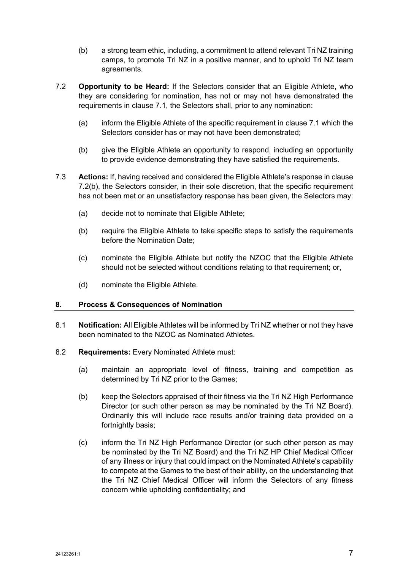- (b) a strong team ethic, including, a commitment to attend relevant Tri NZ training camps, to promote Tri NZ in a positive manner, and to uphold Tri NZ team agreements.
- 7.2 **Opportunity to be Heard:** If the Selectors consider that an Eligible Athlete, who they are considering for nomination, has not or may not have demonstrated the requirements in clause 7.1, the Selectors shall, prior to any nomination:
	- (a) inform the Eligible Athlete of the specific requirement in clause 7.1 which the Selectors consider has or may not have been demonstrated;
	- (b) give the Eligible Athlete an opportunity to respond, including an opportunity to provide evidence demonstrating they have satisfied the requirements.
- 7.3 **Actions:** If, having received and considered the Eligible Athlete's response in clause 7.2(b), the Selectors consider, in their sole discretion, that the specific requirement has not been met or an unsatisfactory response has been given, the Selectors may:
	- (a) decide not to nominate that Eligible Athlete;
	- (b) require the Eligible Athlete to take specific steps to satisfy the requirements before the Nomination Date;
	- (c) nominate the Eligible Athlete but notify the NZOC that the Eligible Athlete should not be selected without conditions relating to that requirement; or,
	- (d) nominate the Eligible Athlete.

## **8. Process & Consequences of Nomination**

- 8.1 **Notification:** All Eligible Athletes will be informed by Tri NZ whether or not they have been nominated to the NZOC as Nominated Athletes.
- 8.2 **Requirements:** Every Nominated Athlete must:
	- (a) maintain an appropriate level of fitness, training and competition as determined by Tri NZ prior to the Games;
	- (b) keep the Selectors appraised of their fitness via the Tri NZ High Performance Director (or such other person as may be nominated by the Tri NZ Board). Ordinarily this will include race results and/or training data provided on a fortnightly basis;
	- (c) inform the Tri NZ High Performance Director (or such other person as may be nominated by the Tri NZ Board) and the Tri NZ HP Chief Medical Officer of any illness or injury that could impact on the Nominated Athlete's capability to compete at the Games to the best of their ability, on the understanding that the Tri NZ Chief Medical Officer will inform the Selectors of any fitness concern while upholding confidentiality; and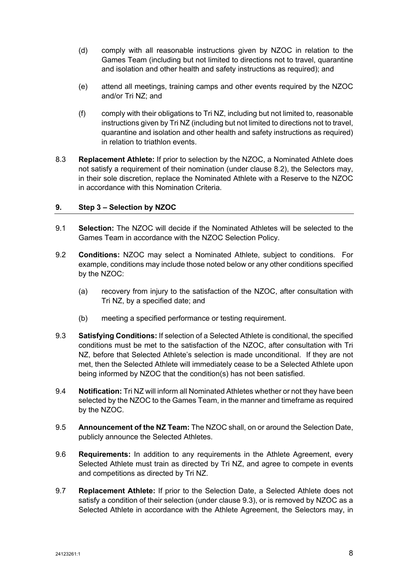- (d) comply with all reasonable instructions given by NZOC in relation to the Games Team (including but not limited to directions not to travel, quarantine and isolation and other health and safety instructions as required); and
- (e) attend all meetings, training camps and other events required by the NZOC and/or Tri NZ; and
- (f) comply with their obligations to Tri NZ, including but not limited to, reasonable instructions given by Tri NZ (including but not limited to directions not to travel, quarantine and isolation and other health and safety instructions as required) in relation to triathlon events.
- 8.3 **Replacement Athlete:** If prior to selection by the NZOC, a Nominated Athlete does not satisfy a requirement of their nomination (under clause 8.2), the Selectors may, in their sole discretion, replace the Nominated Athlete with a Reserve to the NZOC in accordance with this Nomination Criteria.

## **9. Step 3 – Selection by NZOC**

- 9.1 **Selection:** The NZOC will decide if the Nominated Athletes will be selected to the Games Team in accordance with the NZOC Selection Policy.
- 9.2 **Conditions:** NZOC may select a Nominated Athlete, subject to conditions. For example, conditions may include those noted below or any other conditions specified by the NZOC:
	- (a) recovery from injury to the satisfaction of the NZOC, after consultation with Tri NZ, by a specified date; and
	- (b) meeting a specified performance or testing requirement.
- 9.3 **Satisfying Conditions:** If selection of a Selected Athlete is conditional, the specified conditions must be met to the satisfaction of the NZOC, after consultation with Tri NZ, before that Selected Athlete's selection is made unconditional. If they are not met, then the Selected Athlete will immediately cease to be a Selected Athlete upon being informed by NZOC that the condition(s) has not been satisfied.
- 9.4 **Notification:** Tri NZ will inform all Nominated Athletes whether or not they have been selected by the NZOC to the Games Team, in the manner and timeframe as required by the NZOC.
- 9.5 **Announcement of the NZ Team:** The NZOC shall, on or around the Selection Date, publicly announce the Selected Athletes.
- 9.6 **Requirements:** In addition to any requirements in the Athlete Agreement, every Selected Athlete must train as directed by Tri NZ, and agree to compete in events and competitions as directed by Tri NZ.
- 9.7 **Replacement Athlete:** If prior to the Selection Date, a Selected Athlete does not satisfy a condition of their selection (under clause 9.3), or is removed by NZOC as a Selected Athlete in accordance with the Athlete Agreement, the Selectors may, in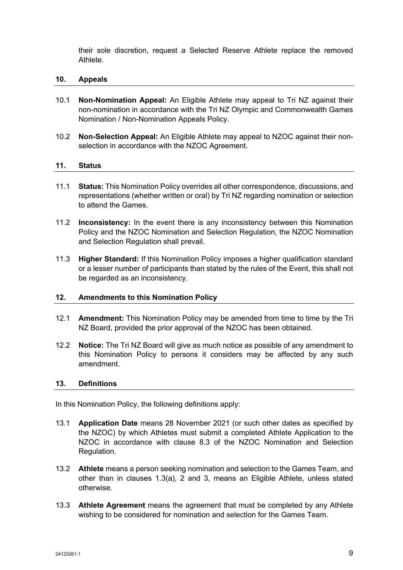their sole discretion, request a Selected Reserve Athlete replace the removed Athlete.

#### **10. Appeals**

- 10.1 **Non-Nomination Appeal:** An Eligible Athlete may appeal to Tri NZ against their non-nomination in accordance with the Tri NZ Olympic and Commonwealth Games Nomination / Non-Nomination Appeals Policy.
- 10.2 **Non-Selection Appeal:** An Eligible Athlete may appeal to NZOC against their nonselection in accordance with the NZOC Agreement.

#### **11. Status**

- 11.1 **Status:** This Nomination Policy overrides all other correspondence, discussions, and representations (whether written or oral) by Tri NZ regarding nomination or selection to attend the Games.
- 11.2 **Inconsistency:** In the event there is any inconsistency between this Nomination Policy and the NZOC Nomination and Selection Regulation, the NZOC Nomination and Selection Regulation shall prevail.
- 11.3 **Higher Standard:** If this Nomination Policy imposes a higher qualification standard or a lesser number of participants than stated by the rules of the Event, this shall not be regarded as an inconsistency.

#### **12. Amendments to this Nomination Policy**

- 12.1 **Amendment:** This Nomination Policy may be amended from time to time by the Tri NZ Board, provided the prior approval of the NZOC has been obtained.
- 12.2 **Notice:** The Tri NZ Board will give as much notice as possible of any amendment to this Nomination Policy to persons it considers may be affected by any such amendment.

#### **13. Definitions**

In this Nomination Policy, the following definitions apply:

- 13.1 **Application Date** means 28 November 2021 (or such other dates as specified by the NZOC) by which Athletes must submit a completed Athlete Application to the NZOC in accordance with clause 8.3 of the NZOC Nomination and Selection Regulation.
- 13.2 **Athlete** means a person seeking nomination and selection to the Games Team, and other than in clauses 1.3(a), 2 and 3, means an Eligible Athlete, unless stated otherwise.
- 13.3 **Athlete Agreement** means the agreement that must be completed by any Athlete wishing to be considered for nomination and selection for the Games Team.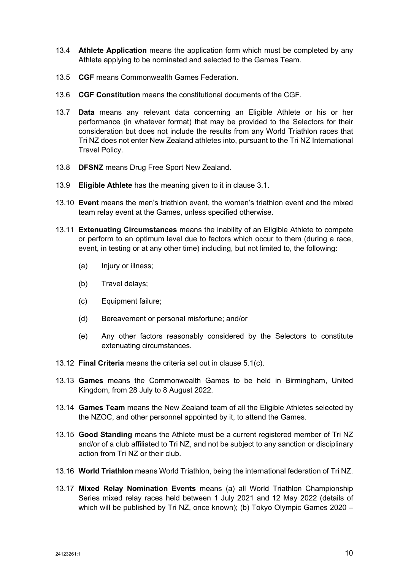- 13.4 **Athlete Application** means the application form which must be completed by any Athlete applying to be nominated and selected to the Games Team.
- 13.5 **CGF** means Commonwealth Games Federation.
- 13.6 **CGF Constitution** means the constitutional documents of the CGF.
- 13.7 **Data** means any relevant data concerning an Eligible Athlete or his or her performance (in whatever format) that may be provided to the Selectors for their consideration but does not include the results from any World Triathlon races that Tri NZ does not enter New Zealand athletes into, pursuant to the Tri NZ International Travel Policy.
- 13.8 **DFSNZ** means Drug Free Sport New Zealand.
- 13.9 **Eligible Athlete** has the meaning given to it in clause 3.1.
- 13.10 **Event** means the men's triathlon event, the women's triathlon event and the mixed team relay event at the Games, unless specified otherwise.
- 13.11 **Extenuating Circumstances** means the inability of an Eligible Athlete to compete or perform to an optimum level due to factors which occur to them (during a race, event, in testing or at any other time) including, but not limited to, the following:
	- (a) Injury or illness;
	- (b) Travel delays;
	- (c) Equipment failure;
	- (d) Bereavement or personal misfortune; and/or
	- (e) Any other factors reasonably considered by the Selectors to constitute extenuating circumstances.
- 13.12 **Final Criteria** means the criteria set out in clause 5.1(c).
- 13.13 **Games** means the Commonwealth Games to be held in Birmingham, United Kingdom, from 28 July to 8 August 2022.
- 13.14 **Games Team** means the New Zealand team of all the Eligible Athletes selected by the NZOC, and other personnel appointed by it, to attend the Games.
- 13.15 **Good Standing** means the Athlete must be a current registered member of Tri NZ and/or of a club affiliated to Tri NZ, and not be subject to any sanction or disciplinary action from Tri NZ or their club.
- 13.16 **World Triathlon** means World Triathlon, being the international federation of Tri NZ.
- 13.17 **Mixed Relay Nomination Events** means (a) all World Triathlon Championship Series mixed relay races held between 1 July 2021 and 12 May 2022 (details of which will be published by Tri NZ, once known); (b) Tokyo Olympic Games 2020 –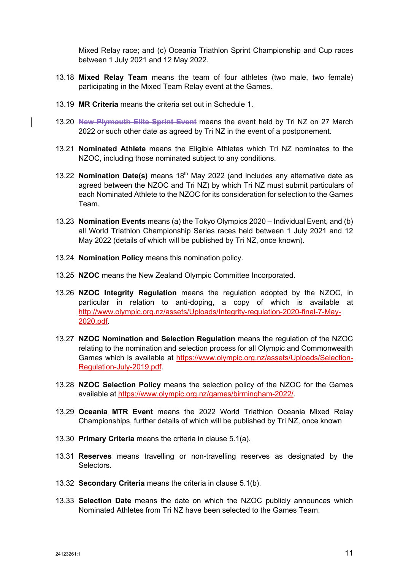Mixed Relay race; and (c) Oceania Triathlon Sprint Championship and Cup races between 1 July 2021 and 12 May 2022.

- 13.18 **Mixed Relay Team** means the team of four athletes (two male, two female) participating in the Mixed Team Relay event at the Games.
- 13.19 **MR Criteria** means the criteria set out in Schedule 1.
- 13.20 **New Plymouth Elite Sprint Event** means the event held by Tri NZ on 27 March 2022 or such other date as agreed by Tri NZ in the event of a postponement.
- 13.21 **Nominated Athlete** means the Eligible Athletes which Tri NZ nominates to the NZOC, including those nominated subject to any conditions.
- 13.22 **Nomination Date(s)** means 18th May 2022 (and includes any alternative date as agreed between the NZOC and Tri NZ) by which Tri NZ must submit particulars of each Nominated Athlete to the NZOC for its consideration for selection to the Games Team.
- 13.23 **Nomination Events** means (a) the Tokyo Olympics 2020 Individual Event, and (b) all World Triathlon Championship Series races held between 1 July 2021 and 12 May 2022 (details of which will be published by Tri NZ, once known).
- 13.24 **Nomination Policy** means this nomination policy.
- 13.25 **NZOC** means the New Zealand Olympic Committee Incorporated.
- 13.26 **NZOC Integrity Regulation** means the regulation adopted by the NZOC, in particular in relation to anti-doping, a copy of which is available at http://www.olympic.org.nz/assets/Uploads/Integrity-regulation-2020-final-7-May-2020.pdf.
- 13.27 **NZOC Nomination and Selection Regulation** means the regulation of the NZOC relating to the nomination and selection process for all Olympic and Commonwealth Games which is available at https://www.olympic.org.nz/assets/Uploads/Selection-Regulation-July-2019.pdf.
- 13.28 **NZOC Selection Policy** means the selection policy of the NZOC for the Games available at https://www.olympic.org.nz/games/birmingham-2022/.
- 13.29 **Oceania MTR Event** means the 2022 World Triathlon Oceania Mixed Relay Championships, further details of which will be published by Tri NZ, once known
- 13.30 **Primary Criteria** means the criteria in clause 5.1(a).
- 13.31 **Reserves** means travelling or non-travelling reserves as designated by the **Selectors**
- 13.32 **Secondary Criteria** means the criteria in clause 5.1(b).
- 13.33 **Selection Date** means the date on which the NZOC publicly announces which Nominated Athletes from Tri NZ have been selected to the Games Team.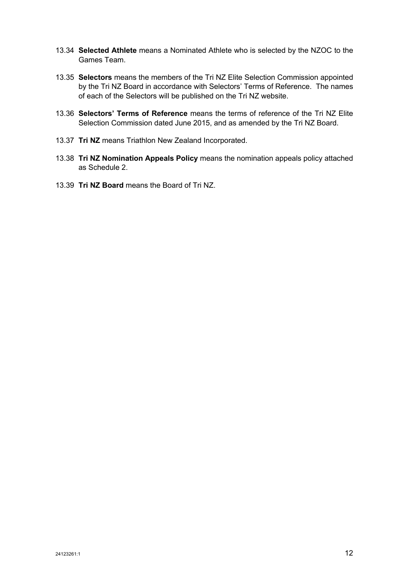- 13.34 **Selected Athlete** means a Nominated Athlete who is selected by the NZOC to the Games Team.
- 13.35 **Selectors** means the members of the Tri NZ Elite Selection Commission appointed by the Tri NZ Board in accordance with Selectors' Terms of Reference. The names of each of the Selectors will be published on the Tri NZ website.
- 13.36 **Selectors' Terms of Reference** means the terms of reference of the Tri NZ Elite Selection Commission dated June 2015, and as amended by the Tri NZ Board.
- 13.37 **Tri NZ** means Triathlon New Zealand Incorporated.
- 13.38 **Tri NZ Nomination Appeals Policy** means the nomination appeals policy attached as Schedule 2.
- 13.39 **Tri NZ Board** means the Board of Tri NZ.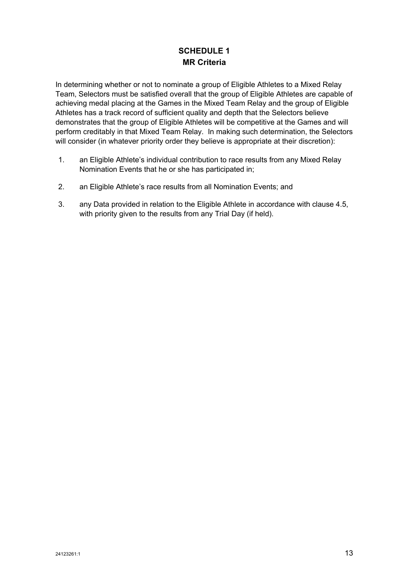# **SCHEDULE 1 MR Criteria**

In determining whether or not to nominate a group of Eligible Athletes to a Mixed Relay Team, Selectors must be satisfied overall that the group of Eligible Athletes are capable of achieving medal placing at the Games in the Mixed Team Relay and the group of Eligible Athletes has a track record of sufficient quality and depth that the Selectors believe demonstrates that the group of Eligible Athletes will be competitive at the Games and will perform creditably in that Mixed Team Relay. In making such determination, the Selectors will consider (in whatever priority order they believe is appropriate at their discretion):

- 1. an Eligible Athlete's individual contribution to race results from any Mixed Relay Nomination Events that he or she has participated in;
- 2. an Eligible Athlete's race results from all Nomination Events; and
- 3. any Data provided in relation to the Eligible Athlete in accordance with clause 4.5, with priority given to the results from any Trial Day (if held).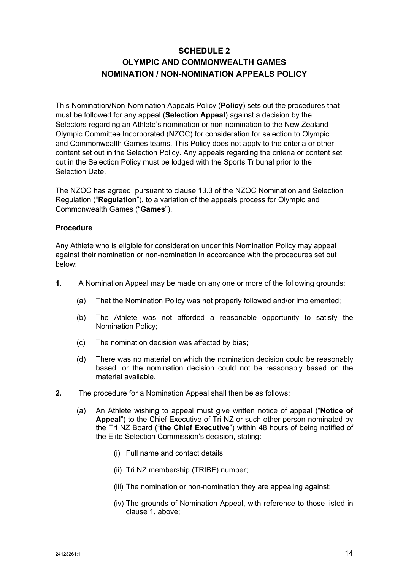# **SCHEDULE 2 OLYMPIC AND COMMONWEALTH GAMES NOMINATION / NON-NOMINATION APPEALS POLICY**

This Nomination/Non-Nomination Appeals Policy (**Policy**) sets out the procedures that must be followed for any appeal (**Selection Appeal**) against a decision by the Selectors regarding an Athlete's nomination or non-nomination to the New Zealand Olympic Committee Incorporated (NZOC) for consideration for selection to Olympic and Commonwealth Games teams. This Policy does not apply to the criteria or other content set out in the Selection Policy. Any appeals regarding the criteria or content set out in the Selection Policy must be lodged with the Sports Tribunal prior to the Selection Date.

The NZOC has agreed, pursuant to clause 13.3 of the NZOC Nomination and Selection Regulation ("**Regulation**"), to a variation of the appeals process for Olympic and Commonwealth Games ("**Games**").

## **Procedure**

Any Athlete who is eligible for consideration under this Nomination Policy may appeal against their nomination or non-nomination in accordance with the procedures set out below:

- **1.** A Nomination Appeal may be made on any one or more of the following grounds:
	- (a) That the Nomination Policy was not properly followed and/or implemented;
	- (b) The Athlete was not afforded a reasonable opportunity to satisfy the Nomination Policy;
	- (c) The nomination decision was affected by bias;
	- (d) There was no material on which the nomination decision could be reasonably based, or the nomination decision could not be reasonably based on the material available.
- **2.** The procedure for a Nomination Appeal shall then be as follows:
	- (a) An Athlete wishing to appeal must give written notice of appeal ("**Notice of Appeal**") to the Chief Executive of Tri NZ or such other person nominated by the Tri NZ Board ("**the Chief Executive**") within 48 hours of being notified of the Elite Selection Commission's decision, stating:
		- (i) Full name and contact details;
		- (ii) Tri NZ membership (TRIBE) number;
		- (iii) The nomination or non-nomination they are appealing against;
		- (iv) The grounds of Nomination Appeal, with reference to those listed in clause 1, above;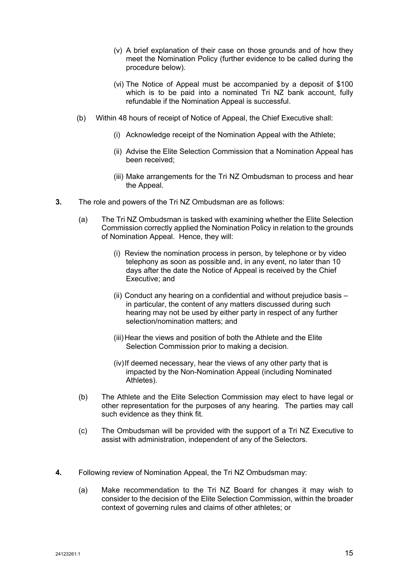- (v) A brief explanation of their case on those grounds and of how they meet the Nomination Policy (further evidence to be called during the procedure below).
- (vi) The Notice of Appeal must be accompanied by a deposit of \$100 which is to be paid into a nominated Tri NZ bank account, fully refundable if the Nomination Appeal is successful.
- (b) Within 48 hours of receipt of Notice of Appeal, the Chief Executive shall:
	- (i) Acknowledge receipt of the Nomination Appeal with the Athlete;
	- (ii) Advise the Elite Selection Commission that a Nomination Appeal has been received;
	- (iii) Make arrangements for the Tri NZ Ombudsman to process and hear the Appeal.
- **3.** The role and powers of the Tri NZ Ombudsman are as follows:
	- (a) The Tri NZ Ombudsman is tasked with examining whether the Elite Selection Commission correctly applied the Nomination Policy in relation to the grounds of Nomination Appeal. Hence, they will:
		- (i) Review the nomination process in person, by telephone or by video telephony as soon as possible and, in any event, no later than 10 days after the date the Notice of Appeal is received by the Chief Executive; and
		- (ii) Conduct any hearing on a confidential and without prejudice basis in particular, the content of any matters discussed during such hearing may not be used by either party in respect of any further selection/nomination matters; and
		- (iii)Hear the views and position of both the Athlete and the Elite Selection Commission prior to making a decision.
		- (iv)If deemed necessary, hear the views of any other party that is impacted by the Non-Nomination Appeal (including Nominated Athletes).
	- (b) The Athlete and the Elite Selection Commission may elect to have legal or other representation for the purposes of any hearing. The parties may call such evidence as they think fit.
	- (c) The Ombudsman will be provided with the support of a Tri NZ Executive to assist with administration, independent of any of the Selectors.
- **4.** Following review of Nomination Appeal, the Tri NZ Ombudsman may:
	- (a) Make recommendation to the Tri NZ Board for changes it may wish to consider to the decision of the Elite Selection Commission, within the broader context of governing rules and claims of other athletes; or